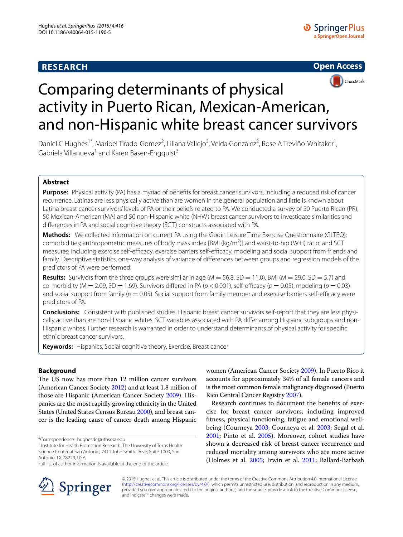# **RESEARCH**





# Comparing determinants of physical activity in Puerto Rican, Mexican-American, and non-Hispanic white breast cancer survivors

Daniel C Hughes<sup>1\*</sup>, Maribel Tirado-Gomez<sup>2</sup>, Liliana Vallejo<sup>3</sup>, Velda Gonzalez<sup>2</sup>, Rose A Treviño-Whitaker<sup>1</sup>, Gabriela Villanueva<sup>1</sup> and Karen Basen-Engquist<sup>3</sup>

# **Abstract**

**Purpose:** Physical activity (PA) has a myriad of benefits for breast cancer survivors, including a reduced risk of cancer recurrence. Latinas are less physically active than are women in the general population and little is known about Latina breast cancer survivors' levels of PA or their beliefs related to PA. We conducted a survey of 50 Puerto Rican (PR), 50 Mexican-American (MA) and 50 non-Hispanic white (NHW) breast cancer survivors to investigate similarities and differences in PA and social cognitive theory (SCT) constructs associated with PA.

**Methods:** We collected information on current PA using the Godin Leisure Time Exercise Questionnaire (GLTEQ); comorbidities; anthropometric measures of body mass index [BMI (kg/m<sup>2</sup>)] and waist-to-hip (W:H) ratio; and SCT measures, including exercise self-efficacy, exercise barriers self-efficacy, modeling and social support from friends and family. Descriptive statistics, one-way analysis of variance of differences between groups and regression models of the predictors of PA were performed.

**Results:** Survivors from the three groups were similar in age ( $M = 56.8$ , SD = 11.0), BMI ( $M = 29.0$ , SD = 5.7) and co-morbidity ( $M = 2.09$ , SD = 1.69). Survivors differed in PA ( $p < 0.001$ ), self-efficacy ( $p = 0.05$ ), modeling ( $p = 0.03$ ) and social support from family ( $p = 0.05$ ). Social support from family member and exercise barriers self-efficacy were predictors of PA.

**Conclusions:** Consistent with published studies, Hispanic breast cancer survivors self-report that they are less physically active than are non-Hispanic whites. SCT variables associated with PA differ among Hispanic subgroups and non-Hispanic whites. Further research is warranted in order to understand determinants of physical activity for specific ethnic breast cancer survivors.

**Keywords:** Hispanics, Social cognitive theory, Exercise, Breast cancer

# **Background**

The US now has more than 12 million cancer survivors (American Cancer Society [2012\)](#page-7-0) and at least 1.8 million of those are Hispanic (American Cancer Society [2009\)](#page-7-1). Hispanics are the most rapidly growing ethnicity in the United States (United States Census Bureau [2000\)](#page-8-0), and breast cancer is the leading cause of cancer death among Hispanic

\*Correspondence: hughesdc@uthscsa.edu

<sup>1</sup> Institute for Health Promotion Research, The University of Texas Health Science Center at San Antonio, 7411 John Smith Drive, Suite 1000, San Antonio, TX 78229, USA



Research continues to document the benefits of exercise for breast cancer survivors, including improved fitness, physical functioning, fatigue and emotional wellbeing (Courneya [2003;](#page-7-3) Courneya et al. [2003](#page-7-4); Segal et al. [2001](#page-7-5); Pinto et al. [2005\)](#page-7-6). Moreover, cohort studies have shown a decreased risk of breast cancer recurrence and reduced mortality among survivors who are more active (Holmes et al. [2005;](#page-7-7) Irwin et al. [2011](#page-7-8); Ballard-Barbash



© 2015 Hughes et al. This article is distributed under the terms of the Creative Commons Attribution 4.0 International License [\(http://creativecommons.org/licenses/by/4.0/\)](http://creativecommons.org/licenses/by/4.0/), which permits unrestricted use, distribution, and reproduction in any medium, provided you give appropriate credit to the original author(s) and the source, provide a link to the Creative Commons license, and indicate if changes were made.

Full list of author information is available at the end of the article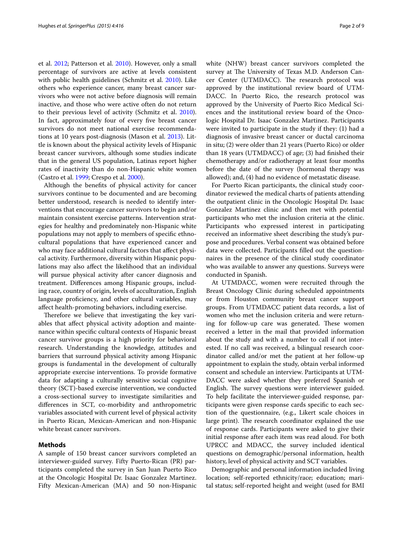et al. [2012;](#page-7-9) Patterson et al. [2010](#page-7-10)). However, only a small percentage of survivors are active at levels consistent with public health guidelines (Schmitz et al. [2010](#page-7-11)). Like others who experience cancer, many breast cancer survivors who were not active before diagnosis will remain inactive, and those who were active often do not return to their previous level of activity (Schmitz et al. [2010](#page-7-11)). In fact, approximately four of every five breast cancer survivors do not meet national exercise recommendations at 10 years post-diagnosis (Mason et al. [2013](#page-7-12)). Little is known about the physical activity levels of Hispanic breast cancer survivors, although some studies indicate that in the general US population, Latinas report higher rates of inactivity than do non-Hispanic white women (Castro et al. [1999;](#page-7-13) Crespo et al. [2000](#page-7-14)).

Although the benefits of physical activity for cancer survivors continue to be documented and are becoming better understood, research is needed to identify interventions that encourage cancer survivors to begin and/or maintain consistent exercise patterns. Intervention strategies for healthy and predominately non-Hispanic white populations may not apply to members of specific ethnocultural populations that have experienced cancer and who may face additional cultural factors that affect physical activity. Furthermore, diversity within Hispanic populations may also affect the likelihood that an individual will pursue physical activity after cancer diagnosis and treatment. Differences among Hispanic groups, including race, country of origin, levels of acculturation, English language proficiency, and other cultural variables, may affect health-promoting behaviors, including exercise.

Therefore we believe that investigating the key variables that affect physical activity adoption and maintenance within specific cultural contexts of Hispanic breast cancer survivor groups is a high priority for behavioral research. Understanding the knowledge, attitudes and barriers that surround physical activity among Hispanic groups is fundamental in the development of culturally appropriate exercise interventions. To provide formative data for adapting a culturally sensitive social cognitive theory (SCT)-based exercise intervention, we conducted a cross-sectional survey to investigate similarities and differences in SCT, co-morbidity and anthropometric variables associated with current level of physical activity in Puerto Rican, Mexican-American and non-Hispanic white breast cancer survivors.

## **Methods**

A sample of 150 breast cancer survivors completed an interviewer-guided survey. Fifty Puerto-Rican (PR) participants completed the survey in San Juan Puerto Rico at the Oncologic Hospital Dr. Isaac Gonzalez Martinez. Fifty Mexican-American (MA) and 50 non-Hispanic white (NHW) breast cancer survivors completed the survey at The University of Texas M.D. Anderson Cancer Center (UTMDACC). The research protocol was approved by the institutional review board of UTM-DACC. In Puerto Rico, the research protocol was approved by the University of Puerto Rico Medical Sciences and the institutional review board of the Oncologic Hospital Dr. Isaac Gonzalez Martinez. Participants were invited to participate in the study if they: (1) had a diagnosis of invasive breast cancer or ductal carcinoma in situ; (2) were older than 21 years (Puerto Rico) or older than 18 years (UTMDACC) of age; (3) had finished their chemotherapy and/or radiotherapy at least four months before the date of the survey (hormonal therapy was allowed); and, (4) had no evidence of metastatic disease.

For Puerto Rican participants, the clinical study coordinator reviewed the medical charts of patients attending the outpatient clinic in the Oncologic Hospital Dr. Isaac Gonzalez Martinez clinic and then met with potential participants who met the inclusion criteria at the clinic. Participants who expressed interest in participating received an informative sheet describing the study's purpose and procedures. Verbal consent was obtained before data were collected. Participants filled out the questionnaires in the presence of the clinical study coordinator who was available to answer any questions. Surveys were conducted in Spanish.

At UTMDACC, women were recruited through the Breast Oncology Clinic during scheduled appointments or from Houston community breast cancer support groups. From UTMDACC patient data records, a list of women who met the inclusion criteria and were returning for follow-up care was generated. These women received a letter in the mail that provided information about the study and with a number to call if not interested. If no call was received, a bilingual research coordinator called and/or met the patient at her follow-up appointment to explain the study, obtain verbal informed consent and schedule an interview. Participants at UTM-DACC were asked whether they preferred Spanish or English. The survey questions were interviewer guided. To help facilitate the interviewer-guided response, participants were given response cards specific to each section of the questionnaire, (e.g., Likert scale choices in large print). The research coordinator explained the use of response cards. Participants were asked to give their initial response after each item was read aloud. For both UPRCC and MDACC, the survey included identical questions on demographic/personal information, health history, level of physical activity and SCT variables.

Demographic and personal information included living location; self-reported ethnicity/race; education; marital status; self-reported height and weight (used for BMI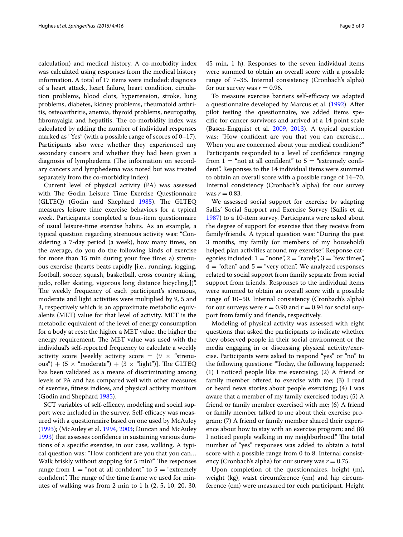calculation) and medical history. A co-morbidity index was calculated using responses from the medical history information. A total of 17 items were included: diagnosis of a heart attack, heart failure, heart condition, circulation problems, blood clots, hypertension, stroke, lung problems, diabetes, kidney problems, rheumatoid arthritis, osteoarthritis, anemia, thyroid problems, neuropathy, fibromyalgia and hepatitis. The co-morbidity index was calculated by adding the number of individual responses marked as "Yes" (with a possible range of scores of 0–17). Participants also were whether they experienced any secondary cancers and whether they had been given a diagnosis of lymphedema (The information on secondary cancers and lymphedema was noted but was treated separately from the co-morbidity index).

Current level of physical activity (PA) was assessed with The Godin Leisure Time Exercise Questionnaire (GLTEQ) (Godin and Shephard [1985\)](#page-7-15). The GLTEQ measures leisure time exercise behaviors for a typical week. Participants completed a four-item questionnaire of usual leisure-time exercise habits. As an example, a typical question regarding strenuous activity was: "Considering a 7-day period (a week), how many times, on the average, do you do the following kinds of exercise for more than 15 min during your free time: a) strenuous exercise (hearts beats rapidly [i.e., running, jogging, football, soccer, squash, basketball, cross country skiing, judo, roller skating, vigorous long distance bicycling.])". The weekly frequency of each participant's strenuous, moderate and light activities were multiplied by 9, 5 and 3, respectively which is an approximate metabolic equivalents (MET) value for that level of activity. MET is the metabolic equivalent of the level of energy consumption for a body at rest; the higher a MET value, the higher the energy requirement. The MET value was used with the individual's self-reported frequency to calculate a weekly activity score [weekly activity score =  $(9 \times$  "strenuous") +  $(5 \times$  "moderate") +  $(3 \times$  "light")]. The GLTEQ has been validated as a means of discriminating among levels of PA and has compared well with other measures of exercise, fitness indices, and physical activity monitors (Godin and Shephard [1985\)](#page-7-15).

SCT variables of self-efficacy, modeling and social support were included in the survey. Self-efficacy was measured with a questionnaire based on one used by McAuley ([1993\)](#page-7-16); (McAuley et al. [1994,](#page-7-17) [2003](#page-7-18); Duncan and McAuley [1993](#page-7-19)) that assesses confidence in sustaining various durations of a specific exercise, in our case, walking. A typical question was: "How confident are you that you can… Walk briskly without stopping for 5 min?" The responses range from  $1 =$  "not at all confident" to  $5 =$  "extremely" confident". The range of the time frame we used for minutes of walking was from 2 min to 1 h (2, 5, 10, 20, 30, 45 min, 1 h). Responses to the seven individual items were summed to obtain an overall score with a possible range of 7–35. Internal consistency (Cronbach's alpha) for our survey was  $r = 0.96$ .

To measure exercise barriers self-efficacy we adapted a questionnaire developed by Marcus et al. [\(1992\)](#page-7-20). After pilot testing the questionnaire, we added items specific for cancer survivors and arrived at a 14 point scale (Basen-Engquist et al. [2009,](#page-7-21) [2013](#page-7-22)). A typical question was: "How confident are you that you can exercise… When you are concerned about your medical condition?" Participants responded to a level of confidence ranging from  $1 =$  "not at all confident" to  $5 =$  "extremely confident". Responses to the 14 individual items were summed to obtain an overall score with a possible range of 14–70. Internal consistency (Cronbach's alpha) for our survey was  $r = 0.83$ .

We assessed social support for exercise by adapting Sallis' Social Support and Exercise Survey (Sallis et al. [1987](#page-7-23)) to a 10-item survey. Participants were asked about the degree of support for exercise that they receive from family/friends. A typical question was: "During the past 3 months, my family (or members of my household) helped plan activities around my exercise". Response categories included:  $1 = \text{``none''}, 2 = \text{``rarely''}, 3 = \text{``few times''},$  $4 =$  "often" and  $5 =$  "very often". We analyzed responses related to social support from family separate from social support from friends. Responses to the individual items were summed to obtain an overall score with a possible range of 10–50. Internal consistency (Cronbach's alpha) for our surveys were  $r = 0.90$  and  $r = 0.94$  for social support from family and friends, respectively.

Modeling of physical activity was assessed with eight questions that asked the participants to indicate whether they observed people in their social environment or the media engaging in or discussing physical activity/exercise. Participants were asked to respond "yes" or "no" to the following questions: "Today, the following happened: (1) I noticed people like me exercising; (2) A friend or family member offered to exercise with me; (3) I read or heard news stories about people exercising; (4) I was aware that a member of my family exercised today; (5) A friend or family member exercised with me; (6) A friend or family member talked to me about their exercise program; (7) A friend or family member shared their experience about how to stay with an exercise program; and (8) I noticed people walking in my neighborhood." The total number of "yes" responses was added to obtain a total score with a possible range from 0 to 8. Internal consistency (Cronbach's alpha) for our survey was  $r = 0.75$ .

Upon completion of the questionnaires, height (m), weight (kg), waist circumference (cm) and hip circumference (cm) were measured for each participant. Height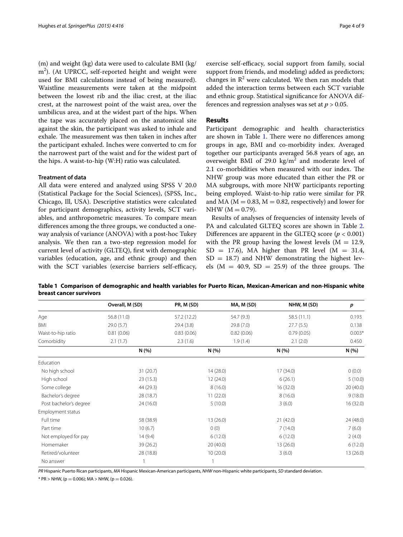(m) and weight (kg) data were used to calculate BMI (kg/ m2 ). (At UPRCC, self-reported height and weight were used for BMI calculations instead of being measured). Waistline measurements were taken at the midpoint between the lowest rib and the iliac crest, at the iliac crest, at the narrowest point of the waist area, over the umbilicus area, and at the widest part of the hips. When the tape was accurately placed on the anatomical site against the skin, the participant was asked to inhale and exhale. The measurement was then taken in inches after the participant exhaled. Inches were converted to cm for the narrowest part of the waist and for the widest part of the hips. A waist-to-hip (W:H) ratio was calculated.

## **Treatment of data**

All data were entered and analyzed using SPSS V 20.0 (Statistical Package for the Social Sciences), (SPSS, Inc., Chicago, Ill, USA). Descriptive statistics were calculated for participant demographics, activity levels, SCT variables, and anthropometric measures. To compare mean differences among the three groups, we conducted a oneway analysis of variance (ANOVA) with a post-hoc Tukey analysis. We then ran a two-step regression model for current level of activity (GLTEQ), first with demographic variables (education, age, and ethnic group) and then with the SCT variables (exercise barriers self-efficacy,

exercise self-efficacy, social support from family, social support from friends, and modeling) added as predictors; changes in  $\mathbb{R}^2$  were calculated. We then ran models that added the interaction terms between each SCT variable and ethnic group. Statistical significance for ANOVA differences and regression analyses was set at *p* > 0.05.

## **Results**

Participant demographic and health characteristics are shown in Table [1](#page-3-0). There were no differences among groups in age, BMI and co-morbidity index. Averaged together our participants averaged 56.8 years of age, an overweight BMI of 29.0  $\text{kg/m}^2$  and moderate level of 2.1 co-morbidities when measured with our index. The NHW group was more educated than either the PR or MA subgroups, with more NHW participants reporting being employed. Waist-to-hip ratio were similar for PR and MA ( $M = 0.83$ ,  $M = 0.82$ , respectively) and lower for  $NHW (M = 0.79).$ 

Results of analyses of frequencies of intensity levels of PA and calculated GLTEQ scores are shown in Table [2](#page-4-0). Differences are apparent in the GLTEQ score  $(p < 0.001)$ with the PR group having the lowest levels  $(M = 12.9,$  $SD = 17.6$ ), MA higher than PR level (M = 31.4,  $SD = 18.7$ ) and NHW demonstrating the highest levels  $(M = 40.9, SD = 25.9)$  of the three groups. The

<span id="page-3-0"></span>**Table 1 Comparison of demographic and health variables for Puerto Rican, Mexican-American and non-Hispanic white breast cancer survivors**

|                        | Overall, M (SD) | PR, M (SD)  | MA, M (SD) | NHW, M (SD) | p         |
|------------------------|-----------------|-------------|------------|-------------|-----------|
| Age                    | 56.8 (11.0)     | 57.2 (12.2) | 54.7 (9.3) | 58.5(11.1)  | 0.193     |
| BMI                    | 29.0 (5.7)      | 29.4(3.8)   | 29.8 (7.0) | 27.7(5.5)   | 0.138     |
| Waist-to-hip ratio     | 0.81(0.06)      | 0.83(0.06)  | 0.82(0.06) | 0.79(0.05)  | $0.003*$  |
| Comorbidity            | 2.1(1.7)        | 2.3(1.6)    | 1.9(1.4)   | 2.1(2.0)    | 0.450     |
|                        | N(%)            |             | N (%)      | N(%         | N (%)     |
| Education              |                 |             |            |             |           |
| No high school         | 31(20.7)        | 14(28.0)    |            | 17(34.0)    | (0.0)     |
| High school            | 23(15.3)        |             | 12(24.0)   | 6(26.1)     | 5(10.0)   |
| Some college           | 44 (29.3)       |             | 8(16.0)    | 16(32.0)    | 20(40.0)  |
| Bachelor's degree      | 28 (18.7)       |             | 11(22.0)   | 8(16.0)     | 9(18.0)   |
| Post bachelor's degree | 24(16.0)        |             | 5(10.0)    | 3(6.0)      | 16 (32.0) |
| Employment status      |                 |             |            |             |           |
| Full time              | 58 (38.9)       |             | 13(26.0)   | 21(42.0)    | 24 (48.0) |
| Part time              | 10(6.7)         |             | 0(0)       | 7(14.0)     | 7(6.0)    |
| Not employed for pay   | 14(9.4)         |             | 6(12.0)    | 6(12.0)     | 2(4.0)    |
| Homemaker              | 39 (26.2)       |             | 20(40.0)   | 13 (26.0)   | 6(12.0)   |
| Retired/volunteer      | 28 (18.8)       |             | 10(20.0)   | 3(6.0)      | 13 (26.0) |
| No answer              |                 |             |            |             |           |

*PR* Hispanic Puerto Rican participants, *MA* Hispanic Mexican-American participants, *NHW* non-Hispanic white participants, *SD* standard deviation.

 $*$  PR > NHW, (p = 0.006); MA > NHW, (p = 0.026).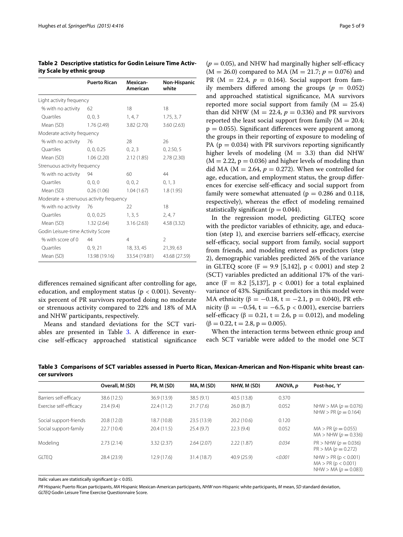|                                           | <b>Puerto Rican</b> | Mexican-<br>American | Non-Hispanic<br>white |
|-------------------------------------------|---------------------|----------------------|-----------------------|
| Light activity frequency                  |                     |                      |                       |
| % with no activity                        | 62                  | 18                   | 18                    |
| Ouartiles                                 | 0, 0, 3             | 1, 4, 7              | 1.75, 3, 7            |
| Mean (SD)                                 | 1.76(2.49)          | 3.82(2.70)           | 3.60(2.63)            |
| Moderate activity frequency               |                     |                      |                       |
| % with no activity                        | 76                  | 28                   | 26                    |
| Ouartiles                                 | 0, 0, 0.25          | 0, 2, 3              | 0, 2.50, 5            |
| Mean (SD)                                 | 1.06(2.20)          | 2.12(1.85)           | 2.78(2.30)            |
| Strenuous activity frequency              |                     |                      |                       |
| % with no activity                        | 94                  | 60                   | 44                    |
| Ouartiles                                 | 0, 0, 0             | 0, 0, 2              | 0, 1, 3               |
| Mean (SD)                                 | 0.26(1.06)          | 1.04(1.67)           | 1.8(1.95)             |
| Moderate $+$ strenuous activity frequency |                     |                      |                       |
| % with no activity                        | 76                  | 22                   | 18                    |
| Quartiles                                 | 0, 0, 0.25          | 1, 3, 5              | 2, 4, 7               |
| Mean (SD)                                 | 1.32(2.64)          | 3.16(2.63)           | 4.58 (3.32)           |
| Godin Leisure-time Activity Score         |                     |                      |                       |
| % with score of 0                         | 44                  | $\overline{4}$       | $\mathfrak{D}$        |
| Quartiles                                 | 0, 9, 21            | 18, 33, 45           | 21,39,63              |
| Mean (SD)                                 | 13.98 (19.16)       | 33.54 (19.81)        | 43.68 (27.59)         |

<span id="page-4-0"></span>**Table 2 Descriptive statistics for Godin Leisure Time Activity Scale by ethnic group**

differences remained significant after controlling for age, education, and employment status ( $p < 0.001$ ). Seventysix percent of PR survivors reported doing no moderate or strenuous activity compared to 22% and 18% of MA and NHW participants, respectively.

Means and standard deviations for the SCT vari-ables are presented in Table [3](#page-4-1). A difference in exercise self-efficacy approached statistical significance

 $(p = 0.05)$ , and NHW had marginally higher self-efficacy  $(M = 26.0)$  compared to MA  $(M = 21.7; p = 0.076)$  and PR ( $M = 22.4$ ,  $p = 0.164$ ). Social support from family members differed among the groups ( $p = 0.052$ ) and approached statistical significance, MA survivors reported more social support from family  $(M = 25.4)$ than did NHW ( $M = 22.4$ ,  $p = 0.336$ ) and PR survivors reported the least social support from family  $(M = 20.4;$  $p = 0.055$ ). Significant differences were apparent among the groups in their reporting of exposure to modeling of PA ( $p = 0.034$ ) with PR survivors reporting significantly higher levels of modeling  $(M = 3.3)$  than did NHW  $(M = 2.22, p = 0.036)$  and higher levels of modeling than did MA ( $M = 2.64$ ,  $p = 0.272$ ). When we controlled for age, education, and employment status, the group differences for exercise self-efficacy and social support from family were somewhat attenuated ( $p = 0.286$  and 0.118, respectively), whereas the effect of modeling remained statistically significant ( $p = 0.044$ ).

In the regression model, predicting GLTEQ score with the predictor variables of ethnicity, age, and education (step 1), and exercise barriers self-efficacy, exercise self-efficacy, social support from family, social support from friends, and modeling entered as predictors (step 2), demographic variables predicted 26% of the variance in GLTEQ score (F = 9.9 [5,142],  $p < 0.001$ ) and step 2 (SCT) variables predicted an additional 17% of the variance (F =  $8.2$  [5,137], p < 0.001) for a total explained variance of 43%. Significant predictors in this model were MA ethnicity ( $\beta = -0.18$ , t = -2.1, p = 0.040), PR ethnicity ( $\beta = -0.54$ , t = -6.5, p < 0.001), exercise barriers self-efficacy ( $\beta = 0.21$ , t = 2.6, p = 0.012), and modeling  $(\beta = 0.22, t = 2.8, p = 0.005).$ 

When the interaction terms between ethnic group and each SCT variable were added to the model one SCT

<span id="page-4-1"></span>**Table 3 Comparisons of SCT variables assessed in Puerto Rican, Mexican-American and Non-Hispanic white breast cancer survivors**

|                        | Overall, M (SD) | PR, M (SD)  | MA, M (SD)  | NHW, M (SD) | ANOVA, <i>p</i> | Post-hoc, 't'                                                           |
|------------------------|-----------------|-------------|-------------|-------------|-----------------|-------------------------------------------------------------------------|
| Barriers self-efficacy | 38.6 (12.5)     | 36.9 (13.9) | 38.5(9.1)   | 40.5 (13.8) | 0.370           |                                                                         |
| Exercise self-efficacy | 23.4(9.4)       | 22.4(11.2)  | 21.7(7.6)   | 26.0(8.7)   | 0.052           | NHW > MA ( $p = 0.076$ )<br>NHW > PR ( $p = 0.164$ )                    |
| Social support-friends | 20.8 (12.0)     | 18.7 (10.8) | 23.5 (13.9) | 20.2(10.6)  | 0.120           |                                                                         |
| Social support-family  | 22.7 (10.4)     | 20.4(11.5)  | 25.4(9.7)   | 22.3(9.4)   | 0.052           | $MA > PR (p = 0.055)$<br>$MA > NHW (p = 0.336)$                         |
| Modeling               | 2.73(2.14)      | 3.32(2.37)  | 2.64(2.07)  | 2.22(1.87)  | 0.034           | $PR > NHW (p = 0.036)$<br>$PR > MA (p = 0.272)$                         |
| <b>GLTEO</b>           | 28.4 (23.9)     | 12.9(17.6)  | 31.4 (18.7) | 40.9 (25.9) | < 0.001         | NHW > PR (p < 0.001)<br>MA > PR (p < 0.001)<br>NHW > MA ( $p = 0.083$ ) |

Italic values are statistically significant (*p* < 0.05).

*PR* Hispanic Puerto Rican participants, *MA* Hispanic Mexican-American participants, *NHW* non-Hispanic white participants, *M* mean, *SD* standard deviation, *GLTEQ* Godin Leisure Time Exercise Questionnaire Score.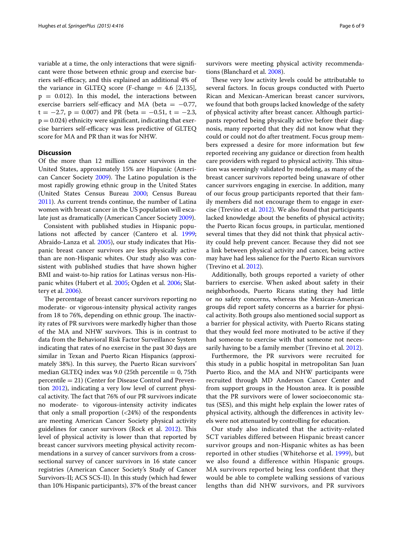variable at a time, the only interactions that were significant were those between ethnic group and exercise barriers self-efficacy, and this explained an additional 4% of the variance in GLTEQ score (F-change  $= 4.6$  [2,135],  $p = 0.012$ ). In this model, the interactions between exercise barriers self-efficacy and MA (beta =  $-0.77$ , t =  $-2.7$ , p = 0.007) and PR (beta =  $-0.51$ , t =  $-2.3$ ,  $p = 0.024$ ) ethnicity were significant, indicating that exercise barriers self-efficacy was less predictive of GLTEQ score for MA and PR than it was for NHW.

## **Discussion**

Of the more than 12 million cancer survivors in the United States, approximately 15% are Hispanic (American Cancer Society [2009\)](#page-7-1). The Latino population is the most rapidly growing ethnic group in the United States (United States Census Bureau [2000;](#page-8-0) Census Bureau [2011](#page-8-1)). As current trends continue, the number of Latina women with breast cancer in the US population will escalate just as dramatically (American Cancer Society [2009\)](#page-7-1).

Consistent with published studies in Hispanic populations not affected by cancer (Cantero et al. [1999](#page-7-24); Abraido-Lanza et al. [2005\)](#page-7-25), our study indicates that Hispanic breast cancer survivors are less physically active than are non-Hispanic whites. Our study also was consistent with published studies that have shown higher BMI and waist-to-hip ratios for Latinas versus non-Hispanic whites (Hubert et al. [2005](#page-7-26); Ogden et al. [2006;](#page-7-27) Slattery et al. [2006\)](#page-7-28).

The percentage of breast cancer survivors reporting no moderate- or vigorous-intensity physical activity ranges from 18 to 76%, depending on ethnic group. The inactivity rates of PR survivors were markedly higher than those of the MA and NHW survivors. This is in contrast to data from the Behavioral Risk Factor Surveillance System indicating that rates of no exercise in the past 30 days are similar in Texan and Puerto Rican Hispanics (approximately 38%). In this survey, the Puerto Rican survivors' median GLTEQ index was  $9.0$  (25th percentile  $= 0$ , 75th  $percentile = 21$ ) (Center for Disease Control and Prevention [2012](#page-7-29)), indicating a very low level of current physical activity. The fact that 76% of our PR survivors indicate no moderate- to vigorous-intensity activity indicates that only a small proportion  $\left\langle \langle 24\% \rangle \right\rangle$  of the respondents are meeting American Cancer Society physical activity guidelines for cancer survivors (Rock et al. [2012\)](#page-7-30). This level of physical activity is lower than that reported by breast cancer survivors meeting physical activity recommendations in a survey of cancer survivors from a crosssectional survey of cancer survivors in 16 state cancer registries (American Cancer Society's Study of Cancer Survivors-II; ACS SCS-II). In this study (which had fewer than 10% Hispanic participants), 37% of the breast cancer

survivors were meeting physical activity recommendations (Blanchard et al. [2008\)](#page-7-31).

These very low activity levels could be attributable to several factors. In focus groups conducted with Puerto Rican and Mexican-American breast cancer survivors, we found that both groups lacked knowledge of the safety of physical activity after breast cancer. Although participants reported being physically active before their diagnosis, many reported that they did not know what they could or could not do after treatment. Focus group members expressed a desire for more information but few reported receiving any guidance or direction from health care providers with regard to physical activity. This situation was seemingly validated by modeling, as many of the breast cancer survivors reported being unaware of other cancer survivors engaging in exercise. In addition, many of our focus group participants reported that their family members did not encourage them to engage in exercise (Trevino et al. [2012](#page-8-2)). We also found that participants lacked knowledge about the benefits of physical activity; the Puerto Rican focus groups, in particular, mentioned several times that they did not think that physical activity could help prevent cancer. Because they did not see a link between physical activity and cancer, being active may have had less salience for the Puerto Rican survivors (Trevino et al. [2012\)](#page-8-2).

Additionally, both groups reported a variety of other barriers to exercise. When asked about safety in their neighborhoods, Puerto Ricans stating they had little or no safety concerns, whereas the Mexican-American groups did report safety concerns as a barrier for physical activity. Both groups also mentioned social support as a barrier for physical activity, with Puerto Ricans stating that they would feel more motivated to be active if they had someone to exercise with that someone not neces-sarily having to be a family member (Trevino et al. [2012](#page-8-2)).

Furthermore, the PR survivors were recruited for this study in a public hospital in metropolitan San Juan Puerto Rico, and the MA and NHW participants were recruited through MD Anderson Cancer Center and from support groups in the Houston area. It is possible that the PR survivors were of lower socioeconomic status (SES), and this might help explain the lower rates of physical activity, although the differences in activity levels were not attenuated by controlling for education.

Our study also indicated that the activity-related SCT variables differed between Hispanic breast cancer survivor groups and non-Hispanic whites as has been reported in other studies (Whitehorse et al. [1999\)](#page-8-3), but we also found a difference within Hispanic groups. MA survivors reported being less confident that they would be able to complete walking sessions of various lengths than did NHW survivors, and PR survivors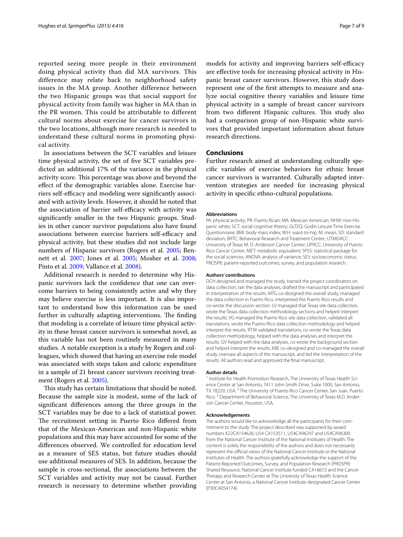reported seeing more people in their environment doing physical activity than did MA survivors. This difference may relate back to neighborhood safety issues in the MA group. Another difference between the two Hispanic groups was that social support for physical activity from family was higher in MA than in the PR women. This could be attributable to different cultural norms about exercise for cancer survivors in the two locations, although more research is needed to understand these cultural norms in promoting physical activity.

In associations between the SCT variables and leisure time physical activity, the set of five SCT variables predicted an additional 17% of the variance in the physical activity score. This percentage was above and beyond the effect of the demographic variables alone. Exercise barriers self-efficacy and modeling were significantly associated with activity levels. However, it should be noted that the association of barrier self-efficacy with activity was significantly smaller in the two Hispanic groups. Studies in other cancer survivor populations also have found associations between exercise barriers self-efficacy and physical activity, but these studies did not include large numbers of Hispanic survivors (Rogers et al. [2005](#page-7-32); Bennett et al. [2007;](#page-7-33) Jones et al. [2005;](#page-7-34) Mosher et al. [2008](#page-7-35); Pinto et al. [2009](#page-7-36); Vallance et al. [2008\)](#page-8-4).

Additional research is needed to determine why Hispanic survivors lack the confidence that one can overcome barriers to being consistently active and why they may believe exercise is less important. It is also important to understand how this information can be used further in culturally adapting interventions. The finding that modeling is a correlate of leisure time physical activity in these breast cancer survivors is somewhat novel, as this variable has not been routinely measured in many studies. A notable exception is a study by Rogers and colleagues, which showed that having an exercise role model was associated with steps taken and caloric expenditure in a sample of 21 breast cancer survivors receiving treatment (Rogers et al. [2005](#page-7-32)).

This study has certain limitations that should be noted. Because the sample size is modest, some of the lack of significant differences among the three groups in the SCT variables may be due to a lack of statistical power. The recruitment setting in Puerto Rico differed from that of the Mexican-American and non-Hispanic white populations and this may have accounted for some of the differences observed. We controlled for education level as a measure of SES status, but future studies should use additional measures of SES. In addition, because the sample is cross-sectional, the associations between the SCT variables and activity may not be causal. Further research is necessary to determine whether providing

models for activity and improving barriers self-efficacy are effective tools for increasing physical activity in Hispanic breast cancer survivors. However, this study does represent one of the first attempts to measure and analyze social cognitive theory variables and leisure time physical activity in a sample of breast cancer survivors from two different Hispanic cultures. This study also had a comparison group of non-Hispanic white survivors that provided important information about future research directions.

## **Conclusions**

Further research aimed at understanding culturally specific variables of exercise behaviors for ethnic breast cancer survivors is warranted. Culturally adapted intervention strategies are needed for increasing physical activity in specific ethno-cultural populations.

#### **Abbreviations**

PA: physical activity; PR: Puerto Rican; MA: Mexican-American; NHW: non-Hispanic white; SCT: social cognitive theory; GLTEQ: Godin Leisure Time Exercise Questionnaire; BMI: body mass index; W:H: waist-to-hip; M: mean; SD: standard deviation; BRTC: Behavioral Research and Treatment Center; UTMDACC: University of Texas M. D. Anderson Cancer Center; UPRCC: University of Puerto Rico Cancer Center; MET: metabolic equivalent; SPSS: statistical package for the social sciences; ANOVA: analysis of variance; SES: socioeconomic status; PROSPR: patient-reported outcomes, survey, and population research.

#### **Authors' contributions**

DCH designed and managed the study, trained the project coordinators on data collection, ran the data analyses, drafted the manuscript and participated in interpretation of the results. MTG co-designed the overall study, managed the data collection in Puerto Rico, interpreted the Puerto Rico results and co-wrote the discussion section. LV managed that Texas site data collection, wrote the Texas data collection methodology sections and helped interpret the results. VG managed the Puerto Rico site data collection, validated all translations, wrote the Puerto Rico data collection methodology and helped interpret the results. RTW validated translations, co-wrote the Texas data collection methodology, helped with the data analyses and interpret the results. GV helped with the data analyses, co-wrote the background section and helped interpret the results. KBE co-designed and co-managed the overall study, oversaw all aspects of the manuscript, and led the interpretation of the results. All authors read and approved the final manuscript.

#### **Author details**

<sup>1</sup> Institute for Health Promotion Research, The University of Texas Health Science Center at San Antonio, 7411 John Smith Drive, Suite 1000, San Antonio, TX 78229, USA.<sup>2</sup> The University of Puerto Rico Cancer Center, San Juan, Puerto Rico.<sup>3</sup> Department of Behavioral Science, The University of Texas M.D. Anderson Cancer Center, Houston, USA.

#### **Acknowledgements**

The authors would like to acknowledge all the participants for their commitment to the study. The project described was supported by award numbers K22CA154626, U54 CA153511, U54CA96297 and U54CA96300 from the National Cancer Institute of the National Institutes of Health. The content is solely the responsibility of the authors and does not necessarily represent the official views of the National Cancer Institute or the National Institutes of Health. The authors gratefully acknowledge the support of the Patient-Reported Outcomes, Survey, and Population Research (PROSPR) Shared Resource, National Cancer Institute funded CA16672 and the Cancer Therapy and Research Center at The University of Texas Health Science Center at San Antonio, a National Cancer Institute-designated Cancer Center (P30CA054174).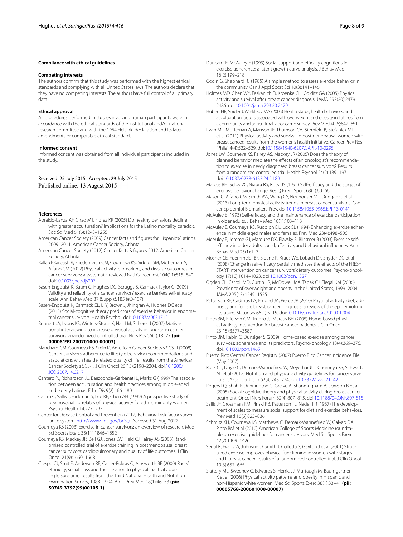#### **Compliance with ethical guidelines**

#### **Competing interests**

The authors confirm that this study was performed with the highest ethical standards and complying with all United States laws. The authors declare that they have no competing interests. The authors have full control of all primary data.

#### **Ethical approval**

All procedures performed in studies involving human participants were in accordance with the ethical standards of the institutional and/or national research committee and with the 1964 Helsinki declaration and its later amendments or comparable ethical standards.

#### **Informed consent**

Informed consent was obtained from all individual participants included in the study.

Received: 25 July 2015 Accepted: 29 July 2015 Published online: 13 August 2015

#### **References**

- <span id="page-7-25"></span>Abraido-Lanza AF, Chao MT, Florez KR (2005) Do healthy behaviors decline with greater acculturation? Implications for the Latino mortality paradox. Soc Sci Med 61(6):1243–1255
- <span id="page-7-1"></span>American Cancer Society (2009) Cancer facts and figures for Hispanics/Latinos. 2009–2011. American Cancer Society, Atlanta
- <span id="page-7-0"></span>American Cancer Society (2012) Cancer facts & figures 2012. American Cancer Society, Atlanta
- <span id="page-7-9"></span>Ballard-Barbash R, Friedenreich CM, Courneya KS, Siddiqi SM, McTiernan A, Alfano CM (2012) Physical activity, biomarkers, and disease outcomes in cancer survivors: a systematic review. J Natl Cancer Inst 104(11):815–840. doi:[10.1093/jnci/djs207](http://dx.doi.org/10.1093/jnci/djs207)
- <span id="page-7-21"></span>Basen-Engquist K, Baum G, Hughes DC, Scruggs S, Carmack Taylor C (2009) Validity and reliability of a cancer survivors' exercise barriers self-efficacy scale. Ann Behav Med 37 (Suppl):S185 (#D-107)
- <span id="page-7-22"></span>Basen-Engquist K, Carmack CL, Li Y, Brown J, Jhingran A, Hughes DC et al (2013) Social-cognitive theory predictors of exercise behavior in endometrial cancer survivors. Health Psychol. doi[:10.1037/a0031712](http://dx.doi.org/10.1037/a0031712)
- <span id="page-7-33"></span>Bennett JA, Lyons KS, Winters-Stone K, Nail LM, Scherer J (2007) Motivational interviewing to increase physical activity in long-term cancer survivors: a randomized controlled trial. Nurs Res 56(1):18–27 **(pii: 00006199-200701000-00003)**
- <span id="page-7-31"></span>Blanchard CM, Courneya KS, Stein K, American Cancer Society's SCS, II (2008) Cancer survivors' adherence to lifestyle behavior recommendations and associations with health-related quality of life: results from the American Cancer Society's SCS-II. J Clin Oncol 26(13):2198–2204. doi:[10.1200/](http://dx.doi.org/10.1200/JCO.2007.14.6217) [JCO.2007.14.6217](http://dx.doi.org/10.1200/JCO.2007.14.6217)
- <span id="page-7-24"></span>Cantero PJ, Richardson JL, Baezconde-Garbanati L, Marks G (1999) The association between acculturation and health practices among middle-aged and elderly Latinas. Ethn Dis 9(2):166–180
- <span id="page-7-13"></span>Castro C, Sallis J, Hickman S, Lee RE, Chen AH (1999) A prospective study of psychosocial correlates of physical activity for ethnic minority women. Psychol Health 14:277–293
- <span id="page-7-29"></span>Center for Disease Control and Prevention (2012) Behavioral risk factor surveillance system. [http://www.cdc.gov/brfss/.](http://www.cdc.gov/brfss/) Accessed 31 Aug 2012
- <span id="page-7-3"></span>Courneya KS (2003) Exercise in cancer survivors: an overview of research. Med Sci Sports Exerc 35(11):1846–1852
- <span id="page-7-4"></span>Courneya KS, Mackey JR, Bell GJ, Jones LW, Field CJ, Fairey AS (2003) Rand‑ omized controlled trial of exercise training in postmenopausal breast cancer survivors: cardiopulmonary and quality of life outcomes. J Clin Oncol 21(9):1660–1668
- <span id="page-7-14"></span>Crespo CJ, Smit E, Andersen RE, Carter-Pokras O, Ainsworth BE (2000) Race/ ethnicity, social class and their relation to physical inactivity during leisure time: results from the Third National Health and Nutrition Examination Survey, 1988–1994. Am J Prev Med 18(1):46–53 **(pii: S0749-3797(99)00105-1)**
- 
- <span id="page-7-19"></span>Duncan TE, McAuley E (1993) Social support and efficacy cognitions in exercise adherence: a latent growth curve analysis. J Behav Med 16(2):199–218
- <span id="page-7-15"></span>Godin G, Shephard RJ (1985) A simple method to assess exercise behavior in the community. Can J Appl Sport Sci 10(3):141–146
- <span id="page-7-7"></span>Holmes MD, Chen WY, Feskanich D, Kroenke CH, Colditz GA (2005) Physical activity and survival after breast cancer diagnosis. JAMA 293(20):2479– 2486. doi[:10.1001/jama.293.20.2479](http://dx.doi.org/10.1001/jama.293.20.2479)
- <span id="page-7-26"></span>Hubert HB, Snider J, Winkleby MA (2005) Health status, health behaviors, and acculturation factors associated with overweight and obesity in Latinos from a community and agricultural labor camp survey. Prev Med 40(6):642–651
- <span id="page-7-8"></span>Irwin ML, McTiernan A, Manson JE, Thomson CA, Sternfeld B, Stefanick ML et al (2011) Physical activity and survival in postmenopausal women with breast cancer: results from the women's health initiative. Cancer Prev Res (Phila) 4(4):522–529. doi:[10.1158/1940-6207.CAPR-10-0295](http://dx.doi.org/10.1158/1940-6207.CAPR-10-0295)
- <span id="page-7-34"></span>Jones LW, Courneya KS, Fairey AS, Mackey JR (2005) Does the theory of planned behavior mediate the effects of an oncologist's recommendation to exercise in newly diagnosed breast cancer survivors? Results from a randomized controlled trial. Health Psychol 24(2):189–197. doi:[10.1037/0278-6133.24.2.189](http://dx.doi.org/10.1037/0278-6133.24.2.189)
- <span id="page-7-20"></span>Marcus BH, Selby VC, Niaura RS, Rossi JS (1992) Self-efficacy and the stages of exercise behavior change. Res Q Exerc Sport 63(1):60–66
- <span id="page-7-12"></span>Mason C, Alfano CM, Smith AW, Wang CY, Neuhouser ML, Duggan C et al (2013) Long-term physical activity trends in breast cancer survivors. Cancer Epidemiol Biomarkers Prev. doi:[10.1158/1055-9965.EPI-13-0141](http://dx.doi.org/10.1158/1055-9965.EPI-13-0141)
- <span id="page-7-16"></span>McAuley E (1993) Self-efficacy and the maintenance of exercise participation in older adults. J Behav Med 16(1):103–113
- <span id="page-7-17"></span>McAuley E, Courneya KS, Rudolph DL, Lox CL (1994) Enhancing exercise adherence in middle-aged males and females. Prev Med 23(4):498–506
- <span id="page-7-18"></span>McAuley E, Jerome GJ, Marquez DX, Elavsky S, Blissmer B (2003) Exercise selfefficacy in older adults: social, affective, and behavioral influences. Ann Behav Med 25(1):1–7
- <span id="page-7-35"></span>Mosher CE, Fuemmeler BF, Sloane R, Kraus WE, Lobach DF, Snyder DC et al (2008) Change in self-efficacy partially mediates the effects of the FRESH START intervention on cancer survivors' dietary outcomes. Psycho-oncology 17(10):1014–1023. doi:[10.1002/pon.1327](http://dx.doi.org/10.1002/pon.1327)
- <span id="page-7-27"></span>Ogden CL, Carroll MD, Curtin LR, McDowell MA, Tabak CJ, Flegal KM (2006) Prevalence of overweight and obesity in the United States, 1999–2004. JAMA 295(13):1549–1555
- <span id="page-7-10"></span>Patterson RE, Cadmus LA, Emond JA, Pierce JP (2010) Physical activity, diet, adiposity and female breast cancer prognosis: a review of the epidemiologic literature. Maturitas 66(1):5–15. doi:[10.1016/j.maturitas.2010.01.004](http://dx.doi.org/10.1016/j.maturitas.2010.01.004)
- <span id="page-7-6"></span>Pinto BM, Frierson GM, Trunzo JJ, Marcus BH (2005) Home-based physical activity intervention for breast cancer patients. J Clin Oncol 23(15):3577–3587
- <span id="page-7-36"></span>Pinto BM, Rabin C, Dunsiger S (2009) Home-based exercise among cancer survivors: adherence and its predictors. Psycho-oncology 18(4):369–376. doi:[10.1002/pon.1465](http://dx.doi.org/10.1002/pon.1465)
- <span id="page-7-2"></span>Puerto Rico Central Cancer Registry (2007) Puerto Rico Cancer Incidence File (May 2007)
- <span id="page-7-30"></span>Rock CL, Doyle C, Demark-Wahnefried W, Meyerhardt J, Courneya KS, Schwartz AL et al (2012) Nutrition and physical activity guidelines for cancer survivors. CA Cancer J Clin 62(4):243–274. doi:[10.3322/caac.21142](http://dx.doi.org/10.3322/caac.21142)
- <span id="page-7-32"></span>Rogers LQ, Shah P, Dunnington G, Greive A, Shanmugham A, Dawson B et al (2005) Social cognitive theory and physical activity during breast cancer treatment. Oncol Nurs Forum 32(4):807–815. doi:[10.1188/04.ONF.807-815](http://dx.doi.org/10.1188/04.ONF.807-815)
- <span id="page-7-23"></span>Sallis JF, Grossman RM, Pinski RB, Patterson TL, Nader PR (1987) The development of scales to measure social support for diet and exercise behaviors. Prev Med 16(6):825–836
- <span id="page-7-11"></span>Schmitz KH, Courneya KS, Matthews C, Demark-Wahnefried W, Galvao DA, Pinto BM et al (2010) American College of Sports Medicine roundtable on exercise guidelines for cancer survivors. Med Sci Sports Exerc 42(7):1409–1426
- <span id="page-7-5"></span>Segal R, Evans W, Johnson D, Smith J, Colletta S, Gayton J et al (2001) Structured exercise improves physical functioning in women with stages I and II breast cancer: results of a randomized controlled trial. J Clin Oncol 19(3):657–665
- <span id="page-7-28"></span>Slattery ML, Sweeney C, Edwards S, Herrick J, Murtaugh M, Baumgartner K et al (2006) Physical activity patterns and obesity in Hispanic and non-Hispanic white women. Med Sci Sports Exerc 38(1):33–41 **(pii: 00005768-200601000-00007)**